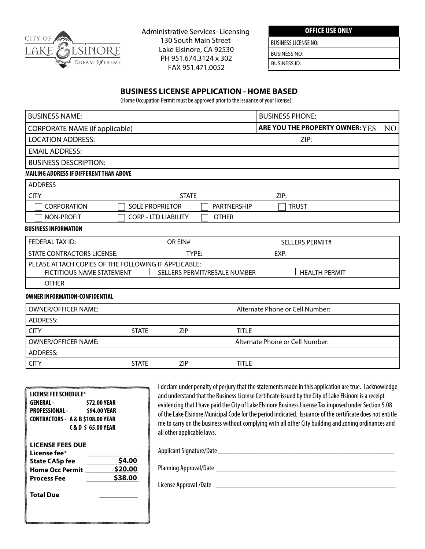

Administrative Services- Licensing 130 South Main Street Lake Elsinore, CA 92530 PH 951.674.3124 x 302 DREAM EXTREME **FH 951.074.5124 x 5C**<br>**FAX 951.471.0052** 

**OFFICE USE ONLY**

BUSINESS LICENSE NO:

BUSINESS NO:

BUSINESS ID:

## **BUSINESS LICENSE APPLICATION - HOME BASED**

(Home Occupation Permit must be approved prior to the issuance of your license)

| <b>BUSINESS NAME:</b>                                                                                         |                        |                             |                              | <b>BUSINESS PHONE:</b>                                                                                  |     |
|---------------------------------------------------------------------------------------------------------------|------------------------|-----------------------------|------------------------------|---------------------------------------------------------------------------------------------------------|-----|
| <b>CORPORATE NAME (If applicable)</b>                                                                         |                        |                             |                              | ARE YOU THE PROPERTY OWNER: YES                                                                         | NO. |
| <b>LOCATION ADDRESS:</b>                                                                                      |                        |                             |                              | ZIP:                                                                                                    |     |
| <b>EMAIL ADDRESS:</b>                                                                                         |                        |                             |                              |                                                                                                         |     |
| <b>BUSINESS DESCRIPTION:</b>                                                                                  |                        |                             |                              |                                                                                                         |     |
| MAILING ADDRESS IF DIFFERENT THAN ABOVE                                                                       |                        |                             |                              |                                                                                                         |     |
| <b>ADDRESS</b>                                                                                                |                        |                             |                              |                                                                                                         |     |
| <b>CITY</b>                                                                                                   |                        | <b>STATE</b>                |                              | ZIP:                                                                                                    |     |
| <b>CORPORATION</b>                                                                                            | <b>SOLE PROPRIETOR</b> |                             | <b>PARTNERSHIP</b>           | <b>TRUST</b>                                                                                            |     |
| <b>NON-PROFIT</b>                                                                                             |                        | <b>CORP - LTD LIABILITY</b> | <b>OTHER</b>                 |                                                                                                         |     |
| <b>BUSINESS INFORMATION</b>                                                                                   |                        |                             |                              |                                                                                                         |     |
| FEDERAL TAX ID:                                                                                               |                        | OR EIN#                     |                              | <b>SELLERS PERMIT#</b>                                                                                  |     |
| <b>STATE CONTRACTORS LICENSE:</b>                                                                             |                        | TYPE:                       |                              | EXP.                                                                                                    |     |
| PLEASE ATTACH COPIES OF THE FOLLOWING IF APPLICABLE:<br>FICTITIOUS NAME STATEMENT                             |                        |                             | SELLERS PERMIT/RESALE NUMBER | <b>HEALTH PERMIT</b>                                                                                    |     |
| <b>OTHER</b>                                                                                                  |                        |                             |                              |                                                                                                         |     |
| <b>OWNER INFORMATION-CONFIDENTIAL</b>                                                                         |                        |                             |                              |                                                                                                         |     |
| <b>OWNER/OFFICER NAME:</b>                                                                                    |                        |                             |                              | Alternate Phone or Cell Number:                                                                         |     |
| <b>ADDRESS:</b>                                                                                               |                        |                             |                              |                                                                                                         |     |
| <b>CITY</b>                                                                                                   | <b>STATE</b>           | <b>ZIP</b>                  | <b>TITLE</b>                 |                                                                                                         |     |
| <b>OWNER/OFFICER NAME:</b>                                                                                    |                        |                             |                              | Alternate Phone or Cell Number:                                                                         |     |
| <b>ADDRESS:</b>                                                                                               |                        |                             |                              |                                                                                                         |     |
| <b>CITY</b>                                                                                                   | <b>STATE</b>           | ZIP                         | <b>TITLE</b>                 |                                                                                                         |     |
|                                                                                                               |                        |                             |                              |                                                                                                         |     |
| wanaanaanaanaa mid ah iyo dhamaanaa ah iyo dhamaanaanaa ah iyo dhamaanaa ah iyo dhamaanaa ah iyo dhamaanaa ah |                        |                             |                              | I declare under penalty of perjury that the statements made in this application are true. I acknowledge |     |

| LICENSE FEE SCHEDULE*<br><b>GENERAL-</b><br><b>\$72.00 YEAR</b><br><b>PROFESSIONAL -</b><br>\$94.00 YEAR<br><b>CONTRACTORS - A &amp; B \$108.00 YEAR</b><br><b>C&amp;D \$ 65.00 YEAR</b> | and understand that the Business License Certificate issued by the City of Lake Elsinore is a receipt<br>evidencing that I have paid the City of Lake Elsinore Business License Tax imposed under Section 5.08<br>of the Lake Elsinore Municipal Code for the period indicated. Issuance of the certificate does not entitle<br>me to carry on the business without complying with all other City building and zoning ordinances and<br>all other applicable laws. |
|------------------------------------------------------------------------------------------------------------------------------------------------------------------------------------------|--------------------------------------------------------------------------------------------------------------------------------------------------------------------------------------------------------------------------------------------------------------------------------------------------------------------------------------------------------------------------------------------------------------------------------------------------------------------|
| <b>LICENSE FEES DUE</b><br>License fee*<br>\$4.00<br><b>State CASp fee</b><br>\$20.00<br><b>Home Occ Permit</b><br>\$38.00<br><b>Process Fee</b><br><b>Total Due</b>                     | Applicant Signature/Date<br>Planning Approval/Date<br>License Approval /Date                                                                                                                                                                                                                                                                                                                                                                                       |